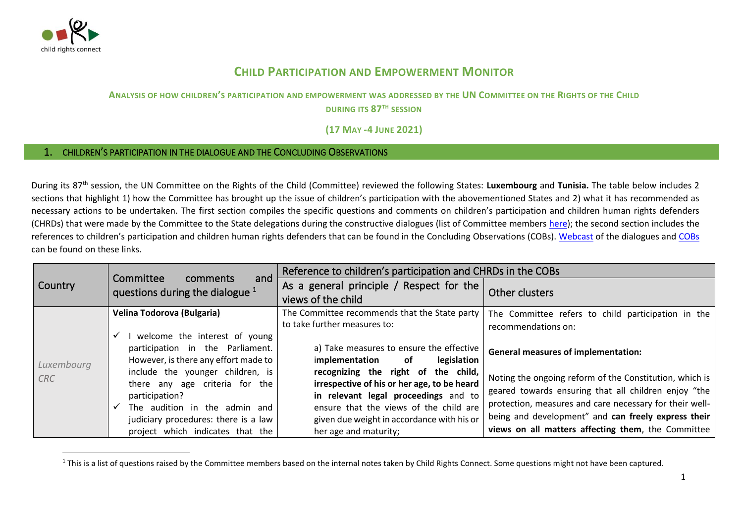

## **CHILD PARTICIPATION AND EMPOWERMENT MONITOR**

## **ANALYSIS OF HOW CHILDREN'S PARTICIPATION AND EMPOWERMENT WAS ADDRESSED BY THE UN COMMITTEE ON THE RIGHTS OF THE CHILD**

**DURING ITS 87TH SESSION**

**(17 MAY -4 JUNE 2021)**

## 1. CHILDREN'S PARTICIPATION IN THE DIALOGUE AND THE CONCLUDING OBSERVATIONS

During its 87 th session, the UN Committee on the Rights of the Child (Committee) reviewed the following States: **Luxembourg** and **Tunisia.** The table below includes 2 sections that highlight 1) how the Committee has brought up the issue of children's participation with the abovementioned States and 2) what it has recommended as necessary actions to be undertaken. The first section compiles the specific questions and comments on children's participation and children human rights defenders (CHRDs) that were made by the Committee to the State delegations during the constructive dialogues (list of Committee members [here\)](http://www.ohchr.org/EN/HRBodies/CRC/Pages/Membership.aspx); the second section includes the references to children's participation and children human rights defenders that can be found in the Concluding Observations (COBs). [Webcast](http://webtv.un.org/meetings-events/human-rights-treaty-bodies/committee-on-the-rights-of-the-child/watch/consideration-of-rwanda-contd-2443rd-meeting-83rd-session-committee-on-the-rights-of-the-child/6127240885001/?term=) of the dialogues and [COBs](https://tbinternet.ohchr.org/_layouts/15/treatybodyexternal/SessionDetails1.aspx?SessionID=2446&Lang=en) can be found on these links.

|                          |                                                                                                                                               | Reference to children's participation and CHRDs in the COBs                                                            |                                                         |
|--------------------------|-----------------------------------------------------------------------------------------------------------------------------------------------|------------------------------------------------------------------------------------------------------------------------|---------------------------------------------------------|
| Country                  | Committee<br>comments<br>and<br>questions during the dialogue $1$                                                                             | As a general principle / Respect for the                                                                               | Other clusters                                          |
|                          |                                                                                                                                               | views of the child                                                                                                     |                                                         |
| Luxembourg<br><b>CRC</b> | Velina Todorova (Bulgaria)                                                                                                                    | The Committee recommends that the State party                                                                          | The Committee refers to child participation in the      |
|                          |                                                                                                                                               | to take further measures to:                                                                                           | recommendations on:                                     |
|                          | welcome the interest of young<br>participation in the Parliament.<br>However, is there any effort made to<br>include the younger children, is | a) Take measures to ensure the effective<br>legislation<br>implementation<br>of<br>recognizing the right of the child, | <b>General measures of implementation:</b>              |
|                          | there any age criteria for the                                                                                                                | irrespective of his or her age, to be heard                                                                            | Noting the ongoing reform of the Constitution, which is |
|                          | participation?                                                                                                                                | in relevant legal proceedings and to                                                                                   | geared towards ensuring that all children enjoy "the    |
|                          | The audition in the admin and                                                                                                                 | ensure that the views of the child are                                                                                 | protection, measures and care necessary for their well- |
|                          | judiciary procedures: there is a law                                                                                                          | given due weight in accordance with his or                                                                             | being and development" and can freely express their     |
|                          | project which indicates that the                                                                                                              | her age and maturity;                                                                                                  | views on all matters affecting them, the Committee      |

 $1$  This is a list of questions raised by the Committee members based on the internal notes taken by Child Rights Connect. Some questions might not have been captured.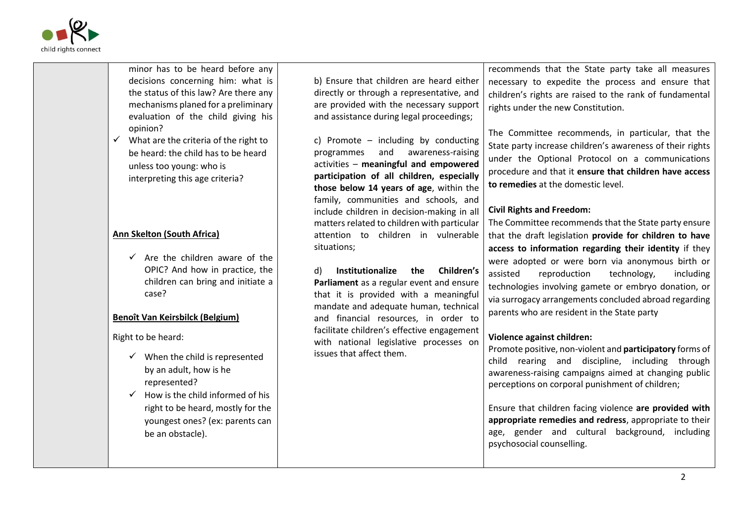

| minor has to be heard before any<br>decisions concerning him: what is<br>the status of this law? Are there any<br>mechanisms planed for a preliminary<br>evaluation of the child giving his                                        | b) Ensure that children are heard either<br>directly or through a representative, and<br>are provided with the necessary support<br>and assistance during legal proceedings;                                                                                                                                                                                                                | recommends that the State party take all measures<br>necessary to expedite the process and ensure that<br>children's rights are raised to the rank of fundamental<br>rights under the new Constitution.                                                                                                                                                                                                                                                 |
|------------------------------------------------------------------------------------------------------------------------------------------------------------------------------------------------------------------------------------|---------------------------------------------------------------------------------------------------------------------------------------------------------------------------------------------------------------------------------------------------------------------------------------------------------------------------------------------------------------------------------------------|---------------------------------------------------------------------------------------------------------------------------------------------------------------------------------------------------------------------------------------------------------------------------------------------------------------------------------------------------------------------------------------------------------------------------------------------------------|
| opinion?<br>What are the criteria of the right to<br>be heard: the child has to be heard<br>unless too young: who is<br>interpreting this age criteria?<br>Ann Skelton (South Africa)                                              | c) Promote - including by conducting<br>and<br>awareness-raising<br>programmes<br>activities - meaningful and empowered<br>participation of all children, especially<br>those below 14 years of age, within the<br>family, communities and schools, and<br>include children in decision-making in all<br>matters related to children with particular<br>attention to children in vulnerable | The Committee recommends, in particular, that the<br>State party increase children's awareness of their rights<br>under the Optional Protocol on a communications<br>procedure and that it ensure that children have access<br>to remedies at the domestic level.<br><b>Civil Rights and Freedom:</b><br>The Committee recommends that the State party ensure                                                                                           |
| $\checkmark$ Are the children aware of the<br>OPIC? And how in practice, the<br>children can bring and initiate a<br>case?                                                                                                         | situations;<br>Institutionalize<br>Children's<br>d)<br>the<br>Parliament as a regular event and ensure<br>that it is provided with a meaningful<br>mandate and adequate human, technical<br>and financial resources, in order to                                                                                                                                                            | that the draft legislation provide for children to have<br>access to information regarding their identity if they<br>were adopted or were born via anonymous birth or<br>assisted<br>reproduction<br>technology,<br>including<br>technologies involving gamete or embryo donation, or<br>via surrogacy arrangements concluded abroad regarding                                                                                                          |
| <b>Benoît Van Keirsbilck (Belgium)</b>                                                                                                                                                                                             |                                                                                                                                                                                                                                                                                                                                                                                             | parents who are resident in the State party                                                                                                                                                                                                                                                                                                                                                                                                             |
| Right to be heard:<br>When the child is represented<br>by an adult, how is he<br>represented?<br>How is the child informed of his<br>✓<br>right to be heard, mostly for the<br>youngest ones? (ex: parents can<br>be an obstacle). | facilitate children's effective engagement<br>with national legislative processes on<br>issues that affect them.                                                                                                                                                                                                                                                                            | Violence against children:<br>Promote positive, non-violent and participatory forms of<br>child rearing and discipline, including through<br>awareness-raising campaigns aimed at changing public<br>perceptions on corporal punishment of children;<br>Ensure that children facing violence are provided with<br>appropriate remedies and redress, appropriate to their<br>age, gender and cultural background, including<br>psychosocial counselling. |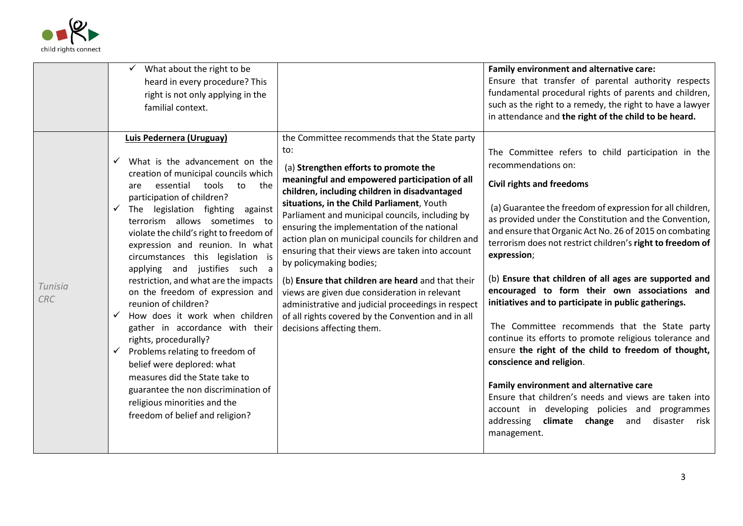

|                       | What about the right to be<br>heard in every procedure? This<br>right is not only applying in the<br>familial context.                                                                                                                                                                                                                                                                                                                                                                                                                                                                                                                                                                                                                                                                                                                             |                                                                                                                                                                                                                                                                                                                                                                                                                                                                                                                                                                                                                                                                                                                                     | Family environment and alternative care:<br>Ensure that transfer of parental authority respects<br>fundamental procedural rights of parents and children,<br>such as the right to a remedy, the right to have a lawyer<br>in attendance and the right of the child to be heard.                                                                                                                                                                                                                                                                                                                                                                                                                                                                                                                                                                                                                                                                                          |
|-----------------------|----------------------------------------------------------------------------------------------------------------------------------------------------------------------------------------------------------------------------------------------------------------------------------------------------------------------------------------------------------------------------------------------------------------------------------------------------------------------------------------------------------------------------------------------------------------------------------------------------------------------------------------------------------------------------------------------------------------------------------------------------------------------------------------------------------------------------------------------------|-------------------------------------------------------------------------------------------------------------------------------------------------------------------------------------------------------------------------------------------------------------------------------------------------------------------------------------------------------------------------------------------------------------------------------------------------------------------------------------------------------------------------------------------------------------------------------------------------------------------------------------------------------------------------------------------------------------------------------------|--------------------------------------------------------------------------------------------------------------------------------------------------------------------------------------------------------------------------------------------------------------------------------------------------------------------------------------------------------------------------------------------------------------------------------------------------------------------------------------------------------------------------------------------------------------------------------------------------------------------------------------------------------------------------------------------------------------------------------------------------------------------------------------------------------------------------------------------------------------------------------------------------------------------------------------------------------------------------|
| Tunisia<br><b>CRC</b> | Luis Pedernera (Uruguay)<br>What is the advancement on the<br>✓<br>creation of municipal councils which<br>essential tools to<br>the<br>are<br>participation of children?<br>The legislation fighting against<br>$\checkmark$<br>terrorism allows sometimes to<br>violate the child's right to freedom of<br>expression and reunion. In what<br>circumstances this legislation is<br>applying and justifies such a<br>restriction, and what are the impacts<br>on the freedom of expression and<br>reunion of children?<br>How does it work when children<br>gather in accordance with their<br>rights, procedurally?<br>Problems relating to freedom of<br>$\checkmark$<br>belief were deplored: what<br>measures did the State take to<br>guarantee the non discrimination of<br>religious minorities and the<br>freedom of belief and religion? | the Committee recommends that the State party<br>to:<br>(a) Strengthen efforts to promote the<br>meaningful and empowered participation of all<br>children, including children in disadvantaged<br>situations, in the Child Parliament, Youth<br>Parliament and municipal councils, including by<br>ensuring the implementation of the national<br>action plan on municipal councils for children and<br>ensuring that their views are taken into account<br>by policymaking bodies;<br>(b) Ensure that children are heard and that their<br>views are given due consideration in relevant<br>administrative and judicial proceedings in respect<br>of all rights covered by the Convention and in all<br>decisions affecting them. | The Committee refers to child participation in the<br>recommendations on:<br><b>Civil rights and freedoms</b><br>(a) Guarantee the freedom of expression for all children,<br>as provided under the Constitution and the Convention,<br>and ensure that Organic Act No. 26 of 2015 on combating<br>terrorism does not restrict children's right to freedom of<br>expression;<br>(b) Ensure that children of all ages are supported and<br>encouraged to form their own associations and<br>initiatives and to participate in public gatherings.<br>The Committee recommends that the State party<br>continue its efforts to promote religious tolerance and<br>ensure the right of the child to freedom of thought,<br>conscience and religion.<br>Family environment and alternative care<br>Ensure that children's needs and views are taken into<br>account in developing policies and programmes<br>addressing climate change and<br>disaster<br>risk<br>management. |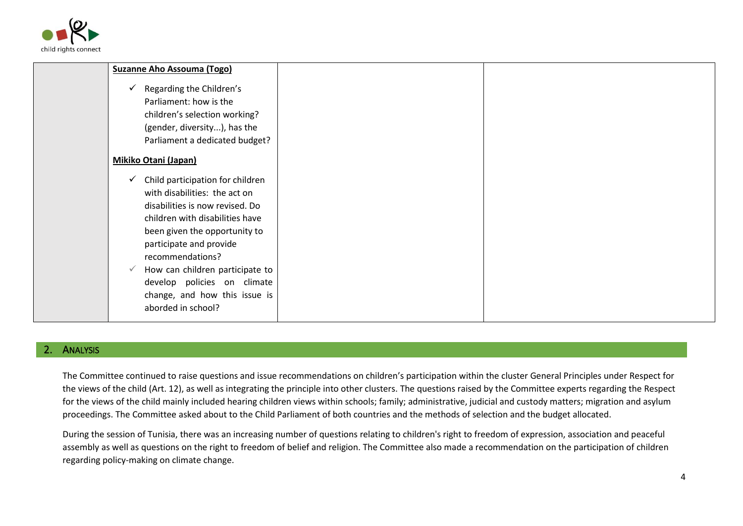

| <b>Suzanne Aho Assouma (Togo)</b>                                                                                                                                                                                                                                                                                                                |  |
|--------------------------------------------------------------------------------------------------------------------------------------------------------------------------------------------------------------------------------------------------------------------------------------------------------------------------------------------------|--|
| Regarding the Children's<br>✓<br>Parliament: how is the<br>children's selection working?<br>(gender, diversity), has the<br>Parliament a dedicated budget?                                                                                                                                                                                       |  |
| <b>Mikiko Otani (Japan)</b>                                                                                                                                                                                                                                                                                                                      |  |
| Child participation for children<br>with disabilities: the act on<br>disabilities is now revised. Do<br>children with disabilities have<br>been given the opportunity to<br>participate and provide<br>recommendations?<br>How can children participate to<br>develop policies on climate<br>change, and how this issue is<br>aborded in school? |  |

## **ANALYSIS**

The Committee continued to raise questions and issue recommendations on children's participation within the cluster General Principles under Respect for the views of the child (Art. 12), as well as integrating the principle into other clusters. The questions raised by the Committee experts regarding the Respect for the views of the child mainly included hearing children views within schools; family; administrative, judicial and custody matters; migration and asylum proceedings. The Committee asked about to the Child Parliament of both countries and the methods of selection and the budget allocated.

During the session of Tunisia, there was an increasing number of questions relating to children's right to freedom of expression, association and peaceful assembly as well as questions on the right to freedom of belief and religion. The Committee also made a recommendation on the participation of children regarding policy-making on climate change.